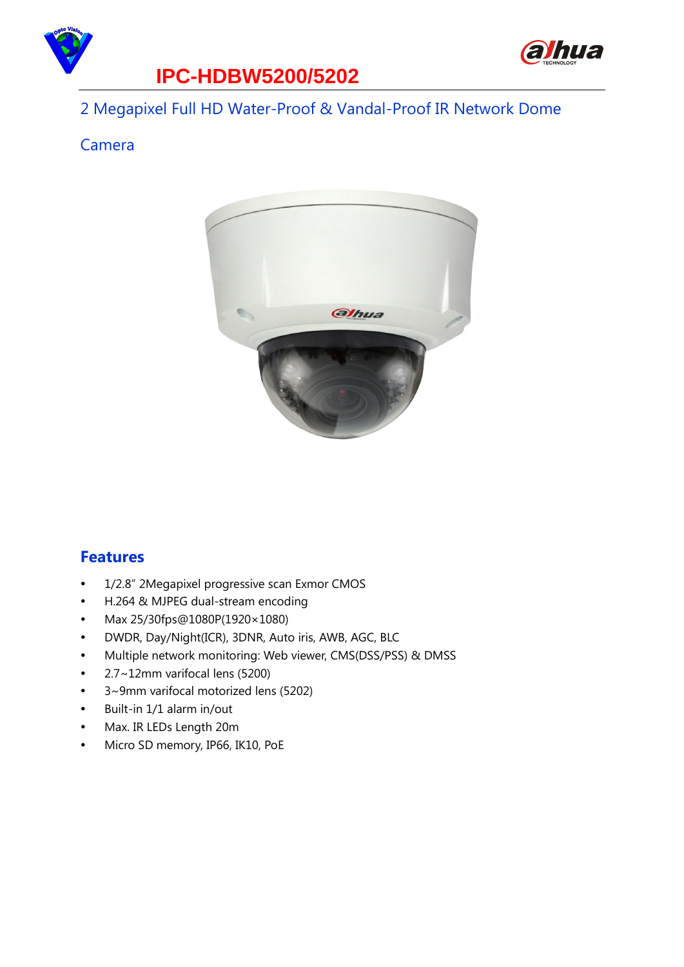

## **IPC-HDBW5200/5202**

#### 2 Megapixel Full HD Water-Proof & Vandal-Proof IR Network Dome

alhua

#### Camera



#### **Features**

- 1/2.8" 2Megapixel progressive scan Exmor CMOS
- H.264 & MJPEG dual-stream encoding
- Max 25/30fps@1080P(1920× 1080)
- DWDR, Day/Night(ICR), 3DNR, Auto iris, AWB, AGC, BLC
- Multiple network monitoring: Web viewer, CMS(DSS/PSS) & DMSS
- 2.7~12mm varifocal lens (5200)
- 3~9mm varifocal motorized lens (5202)
- Built-in 1/1 alarm in/out
- Max. IR LEDs Length 20m
- Micro SD memory, IP66, IK10, PoE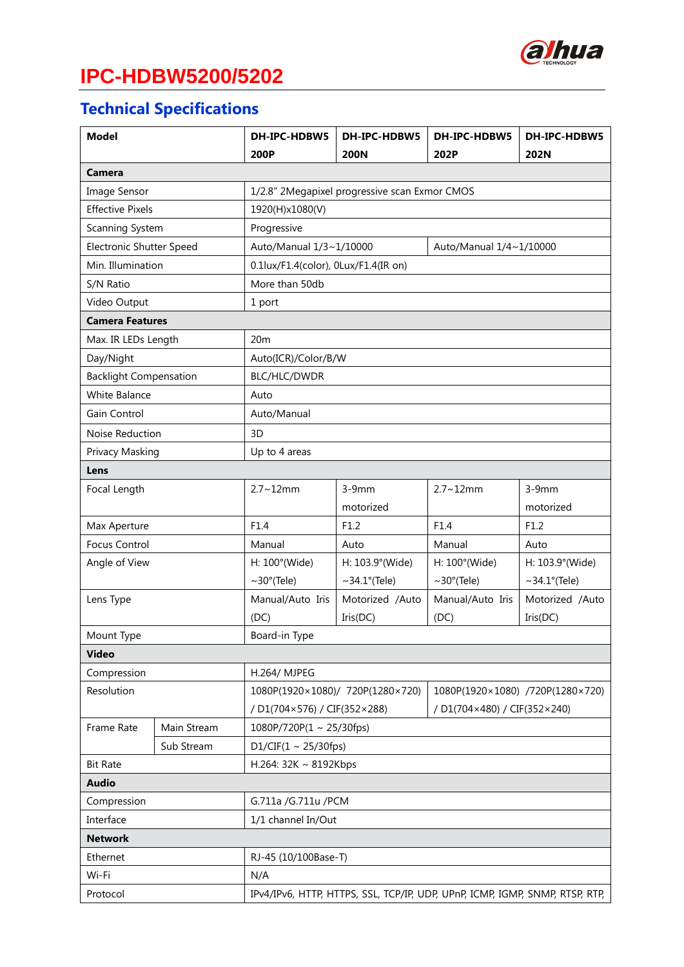

# **IPC-HDBW5200/5202**

## **Technical Specifications**

| <b>Model</b>                  |             | DH-IPC-HDBW5                                                                 | DH-IPC-HDBW5                                                         | DH-IPC-HDBW5     | DH-IPC-HDBW5       |  |  |
|-------------------------------|-------------|------------------------------------------------------------------------------|----------------------------------------------------------------------|------------------|--------------------|--|--|
|                               |             | 200P                                                                         | <b>200N</b>                                                          | 202P             | 202N               |  |  |
| Camera                        |             |                                                                              |                                                                      |                  |                    |  |  |
| Image Sensor                  |             | 1/2.8" 2Megapixel progressive scan Exmor CMOS                                |                                                                      |                  |                    |  |  |
| <b>Effective Pixels</b>       |             | 1920(H)x1080(V)                                                              |                                                                      |                  |                    |  |  |
| Scanning System               |             | Progressive                                                                  |                                                                      |                  |                    |  |  |
| Electronic Shutter Speed      |             |                                                                              | Auto/Manual 1/3~1/10000<br>Auto/Manual 1/4~1/10000                   |                  |                    |  |  |
| Min. Illumination             |             | 0.1lux/F1.4(color), 0Lux/F1.4(IR on)                                         |                                                                      |                  |                    |  |  |
| S/N Ratio                     |             | More than 50db                                                               |                                                                      |                  |                    |  |  |
| Video Output                  |             | 1 port                                                                       |                                                                      |                  |                    |  |  |
| <b>Camera Features</b>        |             |                                                                              |                                                                      |                  |                    |  |  |
| Max. IR LEDs Length           |             | 20m                                                                          |                                                                      |                  |                    |  |  |
| Day/Night                     |             |                                                                              | Auto(ICR)/Color/B/W                                                  |                  |                    |  |  |
| <b>Backlight Compensation</b> |             | BLC/HLC/DWDR                                                                 |                                                                      |                  |                    |  |  |
| White Balance                 |             | Auto                                                                         |                                                                      |                  |                    |  |  |
| Gain Control                  |             | Auto/Manual                                                                  |                                                                      |                  |                    |  |  |
| Noise Reduction               |             | 3D                                                                           |                                                                      |                  |                    |  |  |
| Privacy Masking               |             | Up to 4 areas                                                                |                                                                      |                  |                    |  |  |
| Lens                          |             |                                                                              |                                                                      |                  |                    |  |  |
| Focal Length                  |             | $2.7 - 12$ mm                                                                | $3-9mm$                                                              | $2.7 - 12$ mm    | $3-9mm$            |  |  |
|                               |             |                                                                              | motorized                                                            |                  | motorized          |  |  |
| Max Aperture                  |             | F1.4                                                                         | F1.2                                                                 | F1.4             | F1.2               |  |  |
| <b>Focus Control</b>          |             | Manual                                                                       | Auto                                                                 | Manual           | Auto               |  |  |
| Angle of View                 |             | H: 100°(Wide)                                                                | H: 103.9°(Wide)                                                      | H: 100°(Wide)    | H: 103.9°(Wide)    |  |  |
|                               |             | $\sim$ 30°(Tele)                                                             | $\sim$ 34.1 $\degree$ (Tele)                                         | $\sim$ 30°(Tele) | $\sim$ 34.1°(Tele) |  |  |
| Lens Type                     |             |                                                                              | Motorized /Auto                                                      | Manual/Auto Iris | Motorized /Auto    |  |  |
|                               |             | (DC)                                                                         | Iris(DC)                                                             | (DC)             | Iris(DC)           |  |  |
| Mount Type                    |             | Board-in Type                                                                |                                                                      |                  |                    |  |  |
| <b>Video</b>                  |             |                                                                              |                                                                      |                  |                    |  |  |
| Compression                   |             | H.264/ MJPEG                                                                 |                                                                      |                  |                    |  |  |
| Resolution                    |             |                                                                              | 1080P(1920×1080)/ 720P(1280×720)<br>1080P(1920×1080) /720P(1280×720) |                  |                    |  |  |
|                               |             | / D1(704×480) / CIF(352×240)<br>/ D1(704×576) / CIF(352×288)                 |                                                                      |                  |                    |  |  |
| Frame Rate                    | Main Stream | $1080P/720P(1 \sim 25/30fps)$                                                |                                                                      |                  |                    |  |  |
|                               | Sub Stream  | D1/CIF(1 ~ 25/30fps)                                                         |                                                                      |                  |                    |  |  |
| <b>Bit Rate</b>               |             | H.264: 32K ~ 8192Kbps                                                        |                                                                      |                  |                    |  |  |
| <b>Audio</b>                  |             |                                                                              |                                                                      |                  |                    |  |  |
| Compression                   |             | G.711a / G.711u / PCM                                                        |                                                                      |                  |                    |  |  |
| Interface                     |             | 1/1 channel In/Out                                                           |                                                                      |                  |                    |  |  |
| <b>Network</b>                |             |                                                                              |                                                                      |                  |                    |  |  |
| Ethernet                      |             | RJ-45 (10/100Base-T)                                                         |                                                                      |                  |                    |  |  |
| Wi-Fi                         |             | N/A                                                                          |                                                                      |                  |                    |  |  |
| Protocol                      |             | IPv4/IPv6, HTTP, HTTPS, SSL, TCP/IP, UDP, UPnP, ICMP, IGMP, SNMP, RTSP, RTP, |                                                                      |                  |                    |  |  |